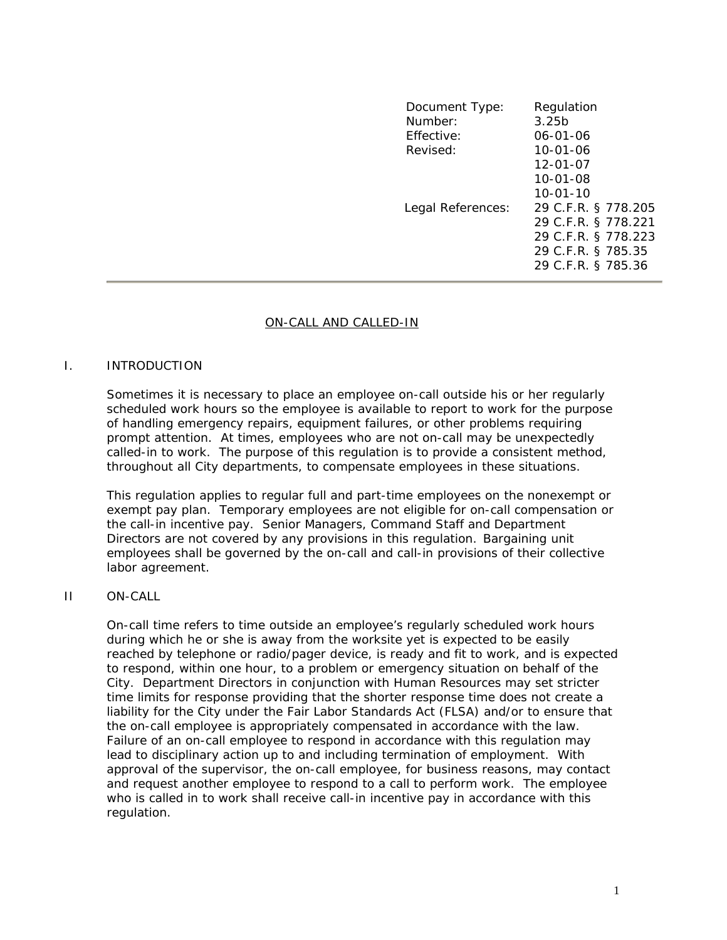| Document Type:<br>Number:<br>Effective:<br>Revised: | Regulation<br>3.25 <sub>b</sub><br>$06 - 01 - 06$<br>$10 - 01 - 06$                                           |
|-----------------------------------------------------|---------------------------------------------------------------------------------------------------------------|
|                                                     | 12-01-07<br>$10 - 01 - 08$<br>$10 - 01 - 10$                                                                  |
| Legal References:                                   | 29 C.F.R. § 778.205<br>29 C.F.R. § 778.221<br>29 C.F.R. § 778.223<br>29 C.F.R. § 785.35<br>29 C.F.R. § 785.36 |

### ON-CALL AND CALLED-IN

### I. INTRODUCTION

Sometimes it is necessary to place an employee on-call outside his or her regularly scheduled work hours so the employee is available to report to work for the purpose of handling emergency repairs, equipment failures, or other problems requiring prompt attention. At times, employees who are not on-call may be unexpectedly called-in to work. The purpose of this regulation is to provide a consistent method, throughout all City departments, to compensate employees in these situations.

This regulation applies to regular full and part-time employees on the nonexempt or exempt pay plan. Temporary employees are not eligible for on-call compensation or the call-in incentive pay. Senior Managers, Command Staff and Department Directors are not covered by any provisions in this regulation. Bargaining unit employees shall be governed by the on-call and call-in provisions of their collective labor agreement.

### II ON-CALL

On-call time refers to time outside an employee's regularly scheduled work hours during which he or she is away from the worksite yet is expected to be easily reached by telephone or radio/pager device, is ready and fit to work, and is expected to respond, within one hour, to a problem or emergency situation on behalf of the City. Department Directors in conjunction with Human Resources may set stricter time limits for response providing that the shorter response time does not create a liability for the City under the Fair Labor Standards Act (FLSA) and/or to ensure that the on-call employee is appropriately compensated in accordance with the law. Failure of an on-call employee to respond in accordance with this regulation may lead to disciplinary action up to and including termination of employment. With approval of the supervisor, the on-call employee, for business reasons, may contact and request another employee to respond to a call to perform work. The employee who is called in to work shall receive call-in incentive pay in accordance with this regulation.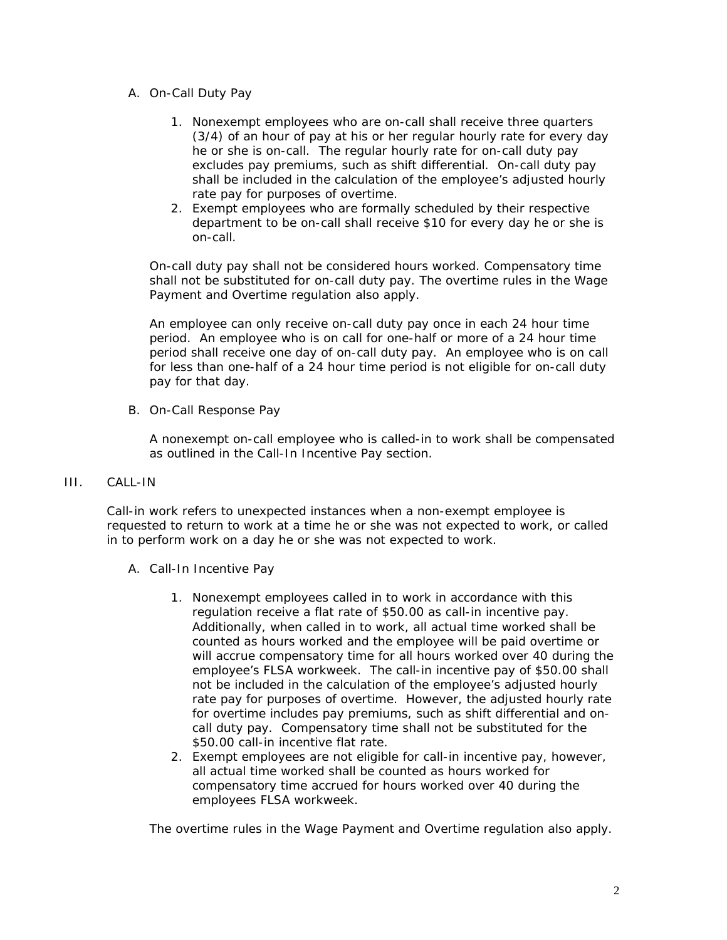- A. On-Call Duty Pay
	- 1. Nonexempt employees who are on-call shall receive three quarters (3/4) of an hour of pay at his or her regular hourly rate for every day he or she is on-call. The regular hourly rate for on-call duty pay excludes pay premiums, such as shift differential. On-call duty pay shall be included in the calculation of the employee's adjusted hourly rate pay for purposes of overtime.
	- 2. Exempt employees who are formally scheduled by their respective department to be on-call shall receive \$10 for every day he or she is on-call.

On-call duty pay shall not be considered hours worked. Compensatory time shall not be substituted for on-call duty pay. The overtime rules in the Wage Payment and Overtime regulation also apply.

An employee can only receive on-call duty pay once in each 24 hour time period. An employee who is on call for one-half or more of a 24 hour time period shall receive one day of on-call duty pay. An employee who is on call for less than one-half of a 24 hour time period is not eligible for on-call duty pay for that day.

B. On-Call Response Pay

A nonexempt on-call employee who is called-in to work shall be compensated as outlined in the Call-In Incentive Pay section.

# III. CALL-IN

Call-in work refers to unexpected instances when a non-exempt employee is requested to return to work at a time he or she was not expected to work, or called in to perform work on a day he or she was not expected to work.

- A. Call-In Incentive Pay
	- 1. Nonexempt employees called in to work in accordance with this regulation receive a flat rate of \$50.00 as call-in incentive pay. Additionally, when called in to work, all actual time worked shall be counted as hours worked and the employee will be paid overtime or will accrue compensatory time for all hours worked over 40 during the employee's FLSA workweek. The call-in incentive pay of \$50.00 shall not be included in the calculation of the employee's adjusted hourly rate pay for purposes of overtime. However, the adjusted hourly rate for overtime includes pay premiums, such as shift differential and oncall duty pay. Compensatory time shall not be substituted for the \$50.00 call-in incentive flat rate.
	- 2. Exempt employees are not eligible for call-in incentive pay, however, all actual time worked shall be counted as hours worked for compensatory time accrued for hours worked over 40 during the employees FLSA workweek.

The overtime rules in the Wage Payment and Overtime regulation also apply.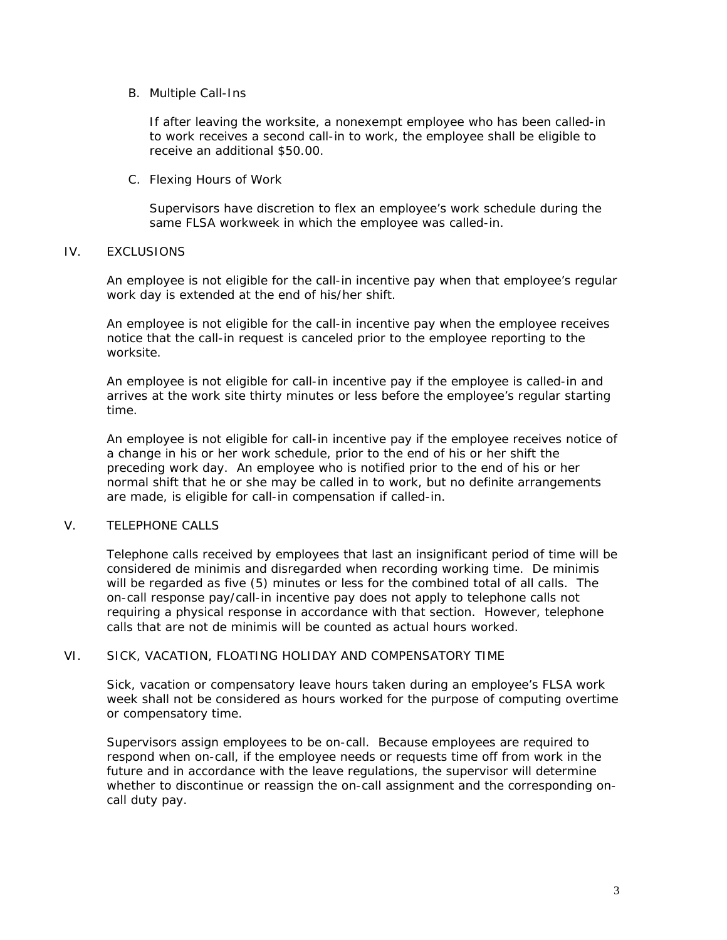## B. Multiple Call-Ins

If after leaving the worksite, a nonexempt employee who has been called-in to work receives a second call-in to work, the employee shall be eligible to receive an additional \$50.00.

## C. Flexing Hours of Work

Supervisors have discretion to flex an employee's work schedule during the same FLSA workweek in which the employee was called-in.

## IV. EXCLUSIONS

An employee is not eligible for the call-in incentive pay when that employee's regular work day is extended at the end of his/her shift.

An employee is not eligible for the call-in incentive pay when the employee receives notice that the call-in request is canceled prior to the employee reporting to the worksite.

An employee is not eligible for call-in incentive pay if the employee is called-in and arrives at the work site thirty minutes or less before the employee's regular starting time.

An employee is not eligible for call-in incentive pay if the employee receives notice of a change in his or her work schedule, prior to the end of his or her shift the preceding work day. An employee who is notified prior to the end of his or her normal shift that he or she may be called in to work, but no definite arrangements are made, is eligible for call-in compensation if called-in.

# V. TELEPHONE CALLS

Telephone calls received by employees that last an insignificant period of time will be considered de minimis and disregarded when recording working time. De minimis will be regarded as five (5) minutes or less for the combined total of all calls. The on-call response pay/call-in incentive pay does not apply to telephone calls not requiring a physical response in accordance with that section. However, telephone calls that are not de minimis will be counted as actual hours worked.

# VI. SICK, VACATION, FLOATING HOLIDAY AND COMPENSATORY TIME

Sick, vacation or compensatory leave hours taken during an employee's FLSA work week shall not be considered as hours worked for the purpose of computing overtime or compensatory time.

Supervisors assign employees to be on-call. Because employees are required to respond when on-call, if the employee needs or requests time off from work in the future and in accordance with the leave regulations, the supervisor will determine whether to discontinue or reassign the on-call assignment and the corresponding oncall duty pay.